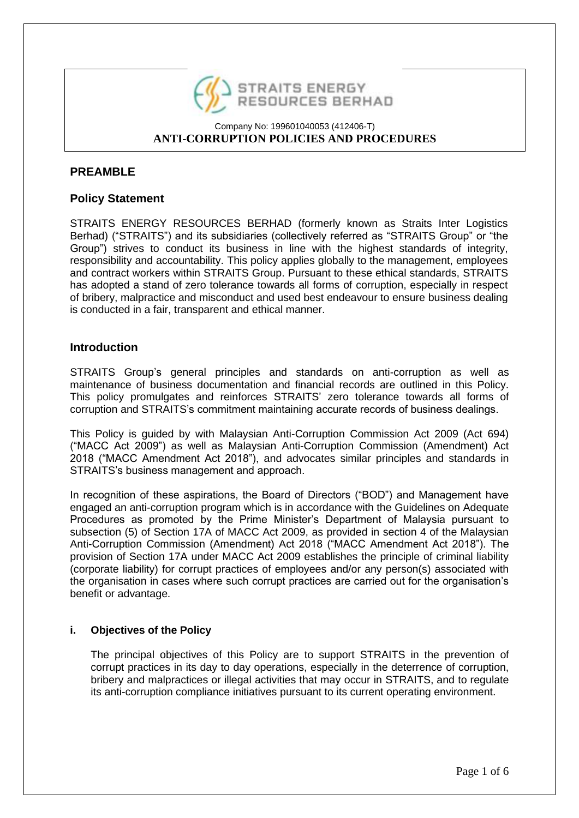

# **PREAMBLE**

# **Policy Statement**

STRAITS ENERGY RESOURCES BERHAD (formerly known as Straits Inter Logistics Berhad) ("STRAITS") and its subsidiaries (collectively referred as "STRAITS Group" or "the Group") strives to conduct its business in line with the highest standards of integrity, responsibility and accountability. This policy applies globally to the management, employees and contract workers within STRAITS Group. Pursuant to these ethical standards, STRAITS has adopted a stand of zero tolerance towards all forms of corruption, especially in respect of bribery, malpractice and misconduct and used best endeavour to ensure business dealing is conducted in a fair, transparent and ethical manner.

# **Introduction**

STRAITS Group's general principles and standards on anti-corruption as well as maintenance of business documentation and financial records are outlined in this Policy. This policy promulgates and reinforces STRAITS' zero tolerance towards all forms of corruption and STRAITS's commitment maintaining accurate records of business dealings.

This Policy is guided by with Malaysian Anti-Corruption Commission Act 2009 (Act 694) ("MACC Act 2009") as well as Malaysian Anti-Corruption Commission (Amendment) Act 2018 ("MACC Amendment Act 2018"), and advocates similar principles and standards in STRAITS's business management and approach.

In recognition of these aspirations, the Board of Directors ("BOD") and Management have engaged an anti-corruption program which is in accordance with the Guidelines on Adequate Procedures as promoted by the Prime Minister's Department of Malaysia pursuant to subsection (5) of Section 17A of MACC Act 2009, as provided in section 4 of the Malaysian Anti-Corruption Commission (Amendment) Act 2018 ("MACC Amendment Act 2018"). The provision of Section 17A under MACC Act 2009 establishes the principle of criminal liability (corporate liability) for corrupt practices of employees and/or any person(s) associated with the organisation in cases where such corrupt practices are carried out for the organisation's benefit or advantage.

# **i. Objectives of the Policy**

The principal objectives of this Policy are to support STRAITS in the prevention of corrupt practices in its day to day operations, especially in the deterrence of corruption, bribery and malpractices or illegal activities that may occur in STRAITS, and to regulate its anti-corruption compliance initiatives pursuant to its current operating environment.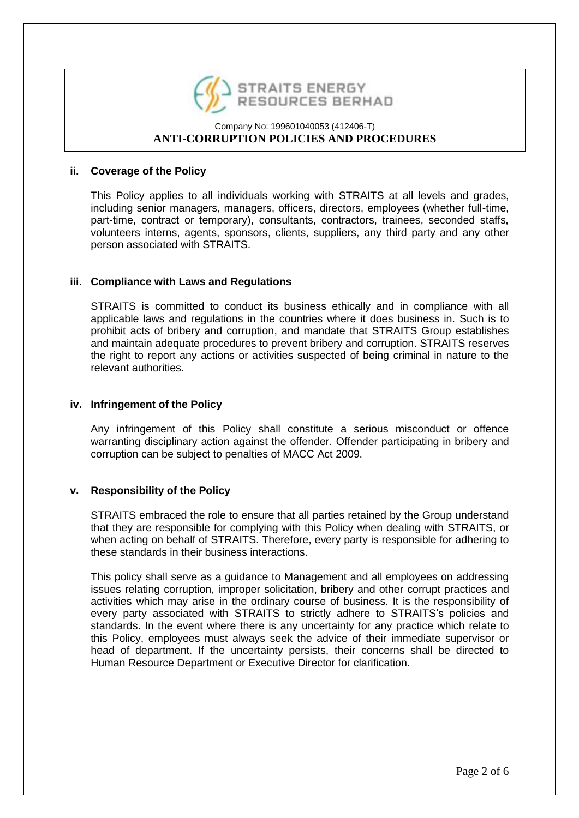

#### **ii. Coverage of the Policy**

This Policy applies to all individuals working with STRAITS at all levels and grades, including senior managers, managers, officers, directors, employees (whether full-time, part-time, contract or temporary), consultants, contractors, trainees, seconded staffs, volunteers interns, agents, sponsors, clients, suppliers, any third party and any other person associated with STRAITS.

### **iii. Compliance with Laws and Regulations**

STRAITS is committed to conduct its business ethically and in compliance with all applicable laws and regulations in the countries where it does business in. Such is to prohibit acts of bribery and corruption, and mandate that STRAITS Group establishes and maintain adequate procedures to prevent bribery and corruption. STRAITS reserves the right to report any actions or activities suspected of being criminal in nature to the relevant authorities.

#### **iv. Infringement of the Policy**

Any infringement of this Policy shall constitute a serious misconduct or offence warranting disciplinary action against the offender. Offender participating in bribery and corruption can be subject to penalties of MACC Act 2009.

# **v. Responsibility of the Policy**

STRAITS embraced the role to ensure that all parties retained by the Group understand that they are responsible for complying with this Policy when dealing with STRAITS, or when acting on behalf of STRAITS. Therefore, every party is responsible for adhering to these standards in their business interactions.

This policy shall serve as a guidance to Management and all employees on addressing issues relating corruption, improper solicitation, bribery and other corrupt practices and activities which may arise in the ordinary course of business. It is the responsibility of every party associated with STRAITS to strictly adhere to STRAITS's policies and standards. In the event where there is any uncertainty for any practice which relate to this Policy, employees must always seek the advice of their immediate supervisor or head of department. If the uncertainty persists, their concerns shall be directed to Human Resource Department or Executive Director for clarification.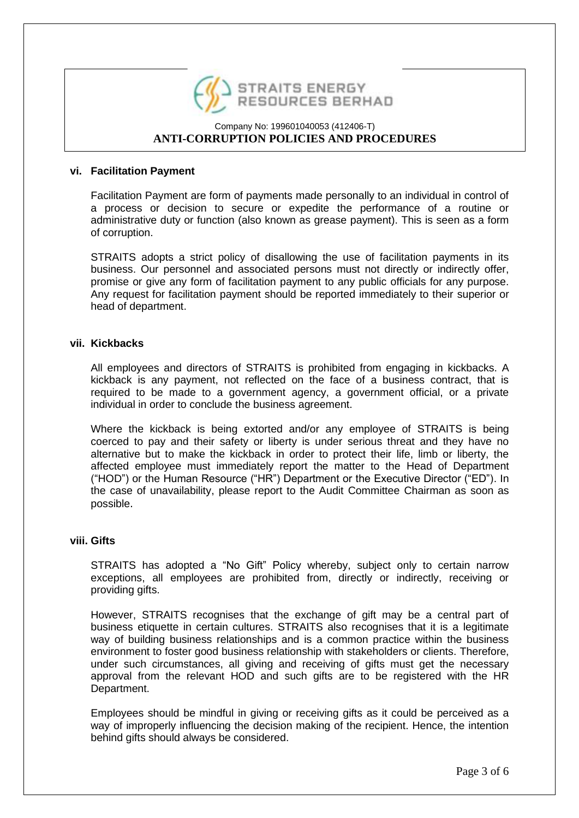

#### **vi. Facilitation Payment**

Facilitation Payment are form of payments made personally to an individual in control of a process or decision to secure or expedite the performance of a routine or administrative duty or function (also known as grease payment). This is seen as a form of corruption.

STRAITS adopts a strict policy of disallowing the use of facilitation payments in its business. Our personnel and associated persons must not directly or indirectly offer, promise or give any form of facilitation payment to any public officials for any purpose. Any request for facilitation payment should be reported immediately to their superior or head of department.

### **vii. Kickbacks**

All employees and directors of STRAITS is prohibited from engaging in kickbacks. A kickback is any payment, not reflected on the face of a business contract, that is required to be made to a government agency, a government official, or a private individual in order to conclude the business agreement.

Where the kickback is being extorted and/or any employee of STRAITS is being coerced to pay and their safety or liberty is under serious threat and they have no alternative but to make the kickback in order to protect their life, limb or liberty, the affected employee must immediately report the matter to the Head of Department ("HOD") or the Human Resource ("HR") Department or the Executive Director ("ED"). In the case of unavailability, please report to the Audit Committee Chairman as soon as possible.

#### **viii. Gifts**

STRAITS has adopted a "No Gift" Policy whereby, subject only to certain narrow exceptions, all employees are prohibited from, directly or indirectly, receiving or providing gifts.

However, STRAITS recognises that the exchange of gift may be a central part of business etiquette in certain cultures. STRAITS also recognises that it is a legitimate way of building business relationships and is a common practice within the business environment to foster good business relationship with stakeholders or clients. Therefore, under such circumstances, all giving and receiving of gifts must get the necessary approval from the relevant HOD and such gifts are to be registered with the HR Department.

Employees should be mindful in giving or receiving gifts as it could be perceived as a way of improperly influencing the decision making of the recipient. Hence, the intention behind gifts should always be considered.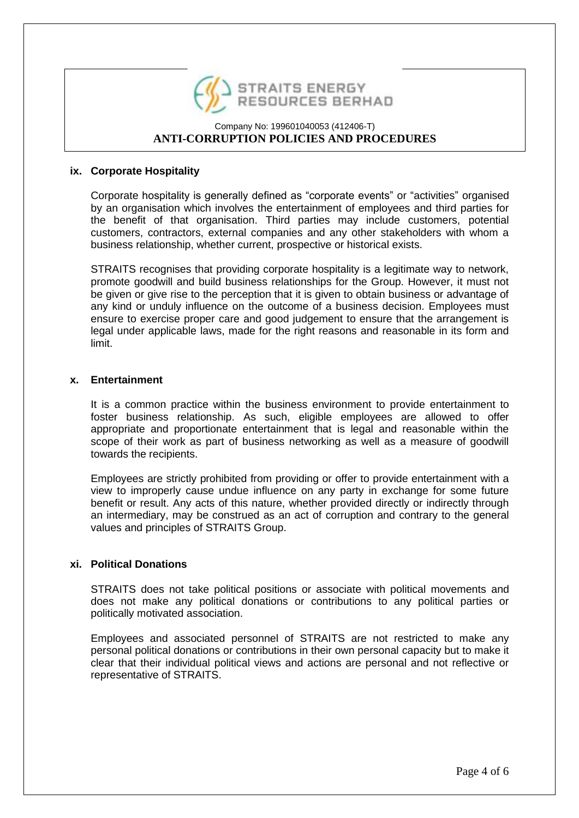

#### **ix. Corporate Hospitality**

Corporate hospitality is generally defined as "corporate events" or "activities" organised by an organisation which involves the entertainment of employees and third parties for the benefit of that organisation. Third parties may include customers, potential customers, contractors, external companies and any other stakeholders with whom a business relationship, whether current, prospective or historical exists.

STRAITS recognises that providing corporate hospitality is a legitimate way to network, promote goodwill and build business relationships for the Group. However, it must not be given or give rise to the perception that it is given to obtain business or advantage of any kind or unduly influence on the outcome of a business decision. Employees must ensure to exercise proper care and good judgement to ensure that the arrangement is legal under applicable laws, made for the right reasons and reasonable in its form and limit.

#### **x. Entertainment**

It is a common practice within the business environment to provide entertainment to foster business relationship. As such, eligible employees are allowed to offer appropriate and proportionate entertainment that is legal and reasonable within the scope of their work as part of business networking as well as a measure of goodwill towards the recipients.

Employees are strictly prohibited from providing or offer to provide entertainment with a view to improperly cause undue influence on any party in exchange for some future benefit or result. Any acts of this nature, whether provided directly or indirectly through an intermediary, may be construed as an act of corruption and contrary to the general values and principles of STRAITS Group.

# **xi. Political Donations**

STRAITS does not take political positions or associate with political movements and does not make any political donations or contributions to any political parties or politically motivated association.

Employees and associated personnel of STRAITS are not restricted to make any personal political donations or contributions in their own personal capacity but to make it clear that their individual political views and actions are personal and not reflective or representative of STRAITS.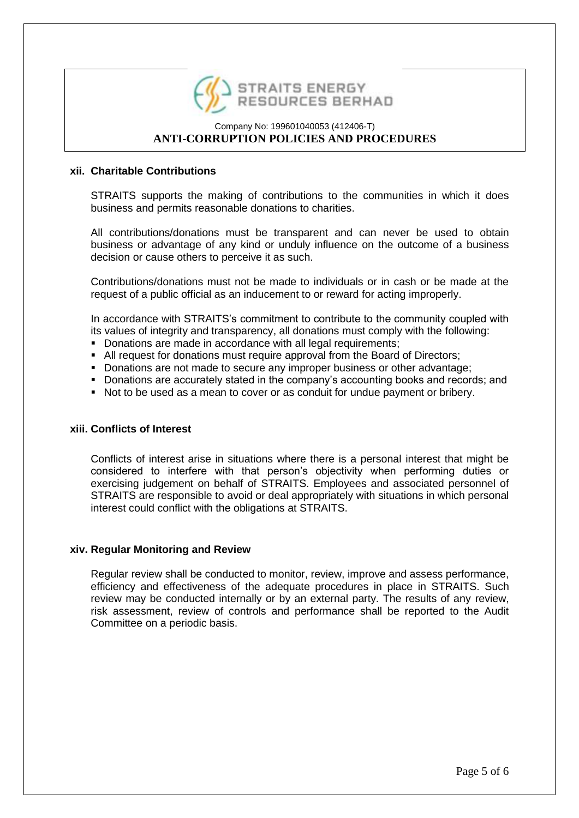

#### **xii. Charitable Contributions**

STRAITS supports the making of contributions to the communities in which it does business and permits reasonable donations to charities.

All contributions/donations must be transparent and can never be used to obtain business or advantage of any kind or unduly influence on the outcome of a business decision or cause others to perceive it as such.

Contributions/donations must not be made to individuals or in cash or be made at the request of a public official as an inducement to or reward for acting improperly.

In accordance with STRAITS's commitment to contribute to the community coupled with its values of integrity and transparency, all donations must comply with the following:

- Donations are made in accordance with all legal requirements;
- All request for donations must require approval from the Board of Directors;
- Donations are not made to secure any improper business or other advantage:
- Donations are accurately stated in the company's accounting books and records; and
- Not to be used as a mean to cover or as conduit for undue payment or bribery.

#### **xiii. Conflicts of Interest**

Conflicts of interest arise in situations where there is a personal interest that might be considered to interfere with that person's objectivity when performing duties or exercising judgement on behalf of STRAITS. Employees and associated personnel of STRAITS are responsible to avoid or deal appropriately with situations in which personal interest could conflict with the obligations at STRAITS.

#### **xiv. Regular Monitoring and Review**

Regular review shall be conducted to monitor, review, improve and assess performance, efficiency and effectiveness of the adequate procedures in place in STRAITS. Such review may be conducted internally or by an external party. The results of any review, risk assessment, review of controls and performance shall be reported to the Audit Committee on a periodic basis.